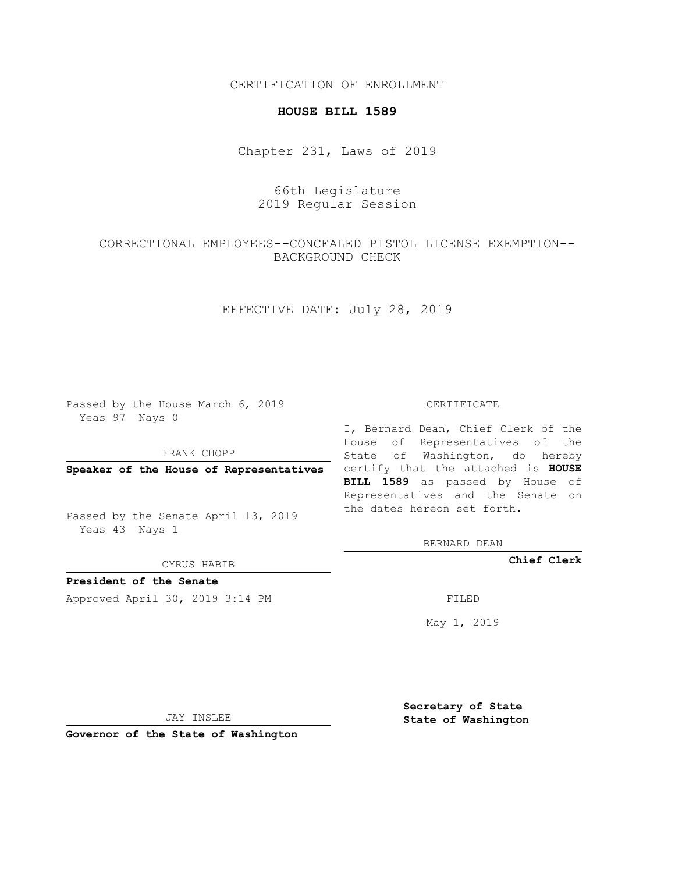CERTIFICATION OF ENROLLMENT

#### **HOUSE BILL 1589**

Chapter 231, Laws of 2019

## 66th Legislature 2019 Regular Session

# CORRECTIONAL EMPLOYEES--CONCEALED PISTOL LICENSE EXEMPTION-- BACKGROUND CHECK

## EFFECTIVE DATE: July 28, 2019

Passed by the House March 6, 2019 Yeas 97 Nays 0

FRANK CHOPP

Passed by the Senate April 13, 2019 Yeas 43 Nays 1

CYRUS HABIB

**President of the Senate**

Approved April 30, 2019 3:14 PM FILED

#### CERTIFICATE

**Speaker of the House of Representatives** certify that the attached is **HOUSE** I, Bernard Dean, Chief Clerk of the House of Representatives of the State of Washington, do hereby **BILL 1589** as passed by House of Representatives and the Senate on the dates hereon set forth.

BERNARD DEAN

**Chief Clerk**

May 1, 2019

JAY INSLEE

**Governor of the State of Washington**

**Secretary of State State of Washington**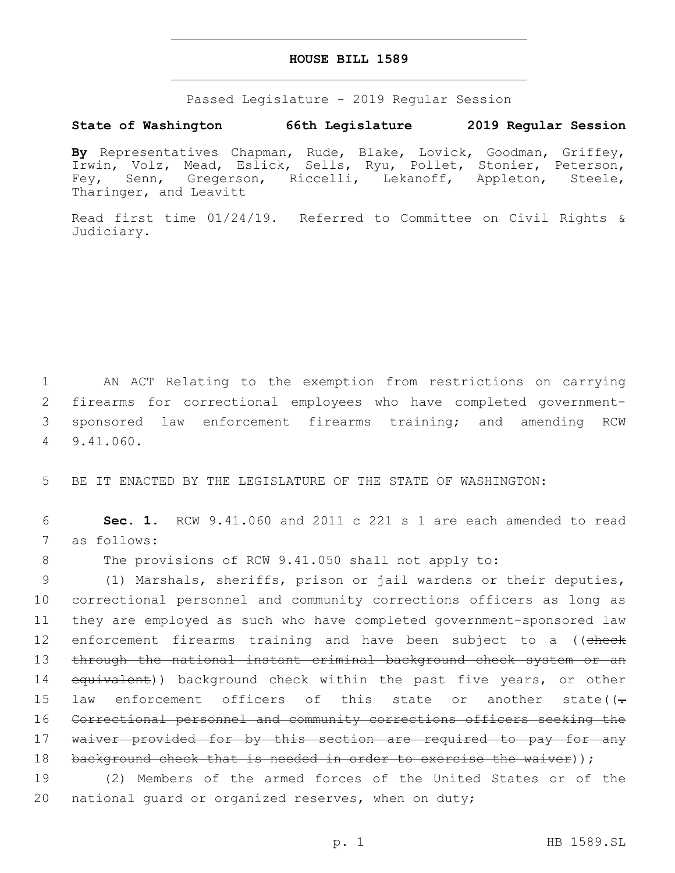### **HOUSE BILL 1589**

Passed Legislature - 2019 Regular Session

## **State of Washington 66th Legislature 2019 Regular Session**

**By** Representatives Chapman, Rude, Blake, Lovick, Goodman, Griffey, Irwin, Volz, Mead, Eslick, Sells, Ryu, Pollet, Stonier, Peterson, Fey, Senn, Gregerson, Riccelli, Lekanoff, Appleton, Steele, Tharinger, and Leavitt

Read first time 01/24/19. Referred to Committee on Civil Rights & Judiciary.

 AN ACT Relating to the exemption from restrictions on carrying firearms for correctional employees who have completed government- sponsored law enforcement firearms training; and amending RCW 9.41.060.4

5 BE IT ENACTED BY THE LEGISLATURE OF THE STATE OF WASHINGTON:

6 **Sec. 1.** RCW 9.41.060 and 2011 c 221 s 1 are each amended to read 7 as follows:

8 The provisions of RCW 9.41.050 shall not apply to:

9 (1) Marshals, sheriffs, prison or jail wardens or their deputies, 10 correctional personnel and community corrections officers as long as 11 they are employed as such who have completed government-sponsored law 12 enforcement firearms training and have been subject to a ((check 13 through the national instant criminal background check system or an 14 equivalent)) background check within the past five years, or other 15 law enforcement officers of this state or another state( $(-$ 16 Correctional personnel and community corrections officers seeking the 17 waiver provided for by this section are required to pay for any 18 background check that is needed in order to exercise the waiver));

19 (2) Members of the armed forces of the United States or of the 20 national guard or organized reserves, when on duty;